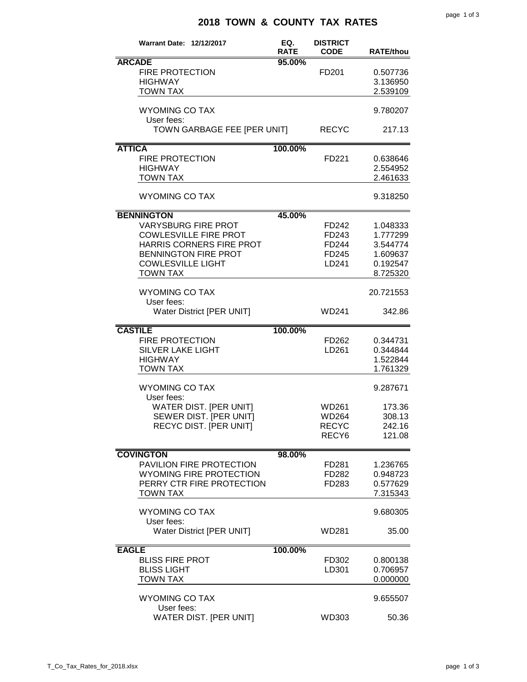## **2018 TOWN & COUNTY TAX RATES**

| <b>Warrant Date: 12/12/2017</b>                                                                                                                                                           | EQ.<br><b>RATE</b> | <b>DISTRICT</b><br><b>CODE</b>                      | <b>RATE/thou</b>                                                     |
|-------------------------------------------------------------------------------------------------------------------------------------------------------------------------------------------|--------------------|-----------------------------------------------------|----------------------------------------------------------------------|
| <b>ARCADE</b><br><b>FIRE PROTECTION</b><br><b>HIGHWAY</b><br><b>TOWN TAX</b>                                                                                                              | 95.00%             | FD <sub>201</sub>                                   | 0.507736<br>3.136950<br>2.539109                                     |
| <b>WYOMING CO TAX</b><br>User fees:                                                                                                                                                       |                    |                                                     | 9.780207                                                             |
| TOWN GARBAGE FEE [PER UNIT]                                                                                                                                                               |                    | <b>RECYC</b>                                        | 217.13                                                               |
| <b>ATTICA</b><br><b>FIRE PROTECTION</b><br><b>HIGHWAY</b><br><b>TOWN TAX</b>                                                                                                              | 100.00%            | FD221                                               | 0.638646<br>2.554952<br>2.461633                                     |
| <b>WYOMING CO TAX</b>                                                                                                                                                                     |                    |                                                     | 9.318250                                                             |
| <b>BENNINGTON</b><br><b>VARYSBURG FIRE PROT</b><br><b>COWLESVILLE FIRE PROT</b><br>HARRIS CORNERS FIRE PROT<br><b>BENNINGTON FIRE PROT</b><br><b>COWLESVILLE LIGHT</b><br><b>TOWN TAX</b> | 45.00%             | FD242<br>FD243<br>FD244<br>FD245<br>LD241           | 1.048333<br>1.777299<br>3.544774<br>1.609637<br>0.192547<br>8.725320 |
| <b>WYOMING CO TAX</b><br>User fees:<br><b>Water District [PER UNIT]</b>                                                                                                                   |                    | <b>WD241</b>                                        | 20.721553<br>342.86                                                  |
| <b>CASTILE</b><br><b>FIRE PROTECTION</b><br><b>SILVER LAKE LIGHT</b><br><b>HIGHWAY</b><br><b>TOWN TAX</b>                                                                                 | 100.00%            | FD262<br>LD261                                      | 0.344731<br>0.344844<br>1.522844<br>1.761329                         |
| <b>WYOMING CO TAX</b><br>User fees:<br>WATER DIST. [PER UNIT]<br>SEWER DIST. [PER UNIT]<br>RECYC DIST. [PER UNIT]                                                                         |                    | WD261<br>WD264<br><b>RECYC</b><br>RECY <sub>6</sub> | 9.287671<br>173.36<br>308.13<br>242.16<br>121.08                     |
| <b>COVINGTON</b><br>PAVILION FIRE PROTECTION<br>WYOMING FIRE PROTECTION<br>PERRY CTR FIRE PROTECTION<br><b>TOWN TAX</b>                                                                   | 98.00%             | FD281<br>FD282<br>FD283                             | 1.236765<br>0.948723<br>0.577629<br>7.315343                         |
| <b>WYOMING CO TAX</b><br>User fees:<br><b>Water District [PER UNIT]</b>                                                                                                                   |                    | WD281                                               | 9.680305<br>35.00                                                    |
| <b>EAGLE</b><br><b>BLISS FIRE PROT</b><br><b>BLISS LIGHT</b><br><b>TOWN TAX</b>                                                                                                           | 100.00%            | FD302<br>LD301                                      | 0.800138<br>0.706957<br>0.000000                                     |
| <b>WYOMING CO TAX</b><br>User fees:<br>WATER DIST. [PER UNIT]                                                                                                                             |                    | WD303                                               | 9.655507<br>50.36                                                    |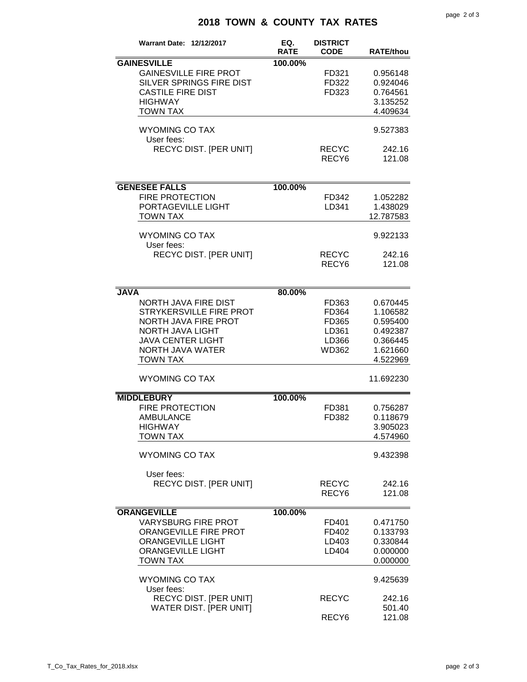## **2018 TOWN & COUNTY TAX RATES**

| <b>Warrant Date: 12/12/2017</b>                                                                                                                                              | EQ.<br><b>RATE</b> | <b>DISTRICT</b><br><b>CODE</b>                     | <b>RATE/thou</b>                                                                 |
|------------------------------------------------------------------------------------------------------------------------------------------------------------------------------|--------------------|----------------------------------------------------|----------------------------------------------------------------------------------|
| <b>GAINESVILLE</b>                                                                                                                                                           | 100.00%            |                                                    |                                                                                  |
| <b>GAINESVILLE FIRE PROT</b><br>SILVER SPRINGS FIRE DIST<br><b>CASTILE FIRE DIST</b><br><b>HIGHWAY</b><br><b>TOWN TAX</b>                                                    |                    | FD321<br>FD322<br>FD323                            | 0.956148<br>0.924046<br>0.764561<br>3.135252<br>4.409634                         |
| <b>WYOMING CO TAX</b><br>User fees:                                                                                                                                          |                    |                                                    | 9.527383                                                                         |
| RECYC DIST. [PER UNIT]                                                                                                                                                       |                    | <b>RECYC</b><br>RECY <sub>6</sub>                  | 242.16<br>121.08                                                                 |
| <b>GENESEE FALLS</b>                                                                                                                                                         | 100.00%            |                                                    |                                                                                  |
| <b>FIRE PROTECTION</b><br>PORTAGEVILLE LIGHT<br><b>TOWN TAX</b>                                                                                                              |                    | FD342<br>LD341                                     | 1.052282<br>1.438029<br>12.787583                                                |
| <b>WYOMING CO TAX</b><br>User fees:                                                                                                                                          |                    |                                                    | 9.922133                                                                         |
| <b>RECYC DIST. [PER UNIT]</b>                                                                                                                                                |                    | <b>RECYC</b><br>RECY <sub>6</sub>                  | 242.16<br>121.08                                                                 |
| <b>JAVA</b>                                                                                                                                                                  | 80.00%             |                                                    |                                                                                  |
| <b>NORTH JAVA FIRE DIST</b><br>STRYKERSVILLE FIRE PROT<br><b>NORTH JAVA FIRE PROT</b><br>NORTH JAVA LIGHT<br><b>JAVA CENTER LIGHT</b><br>NORTH JAVA WATER<br><b>TOWN TAX</b> |                    | FD363<br>FD364<br>FD365<br>LD361<br>LD366<br>WD362 | 0.670445<br>1.106582<br>0.595400<br>0.492387<br>0.366445<br>1.621660<br>4.522969 |
| <b>WYOMING CO TAX</b>                                                                                                                                                        |                    |                                                    | 11.692230                                                                        |
| <b>MIDDLEBURY</b>                                                                                                                                                            | 100.00%            |                                                    |                                                                                  |
| <b>FIRE PROTECTION</b><br><b>AMBULANCE</b><br><b>HIGHWAY</b><br><b>TOWN TAX</b>                                                                                              |                    | FD381<br>FD382                                     | 0.756287<br>0.118679<br>3.905023<br>4.574960                                     |
| <b>WYOMING CO TAX</b>                                                                                                                                                        |                    |                                                    | 9.432398                                                                         |
| User fees:<br><b>RECYC DIST. [PER UNIT]</b>                                                                                                                                  |                    | <b>RECYC</b><br>RECY <sub>6</sub>                  | 242.16<br>121.08                                                                 |
| <b>ORANGEVILLE</b>                                                                                                                                                           | 100.00%            |                                                    |                                                                                  |
| <b>VARYSBURG FIRE PROT</b><br>ORANGEVILLE FIRE PROT<br><b>ORANGEVILLE LIGHT</b><br><b>ORANGEVILLE LIGHT</b><br><b>TOWN TAX</b>                                               |                    | FD401<br>FD402<br>LD403<br>LD404                   | 0.471750<br>0.133793<br>0.330844<br>0.000000<br>0.000000                         |
| <b>WYOMING CO TAX</b><br>User fees:                                                                                                                                          |                    |                                                    | 9.425639                                                                         |
| RECYC DIST. [PER UNIT]<br>WATER DIST. [PER UNIT]                                                                                                                             |                    | <b>RECYC</b><br>RECY <sub>6</sub>                  | 242.16<br>501.40<br>121.08                                                       |